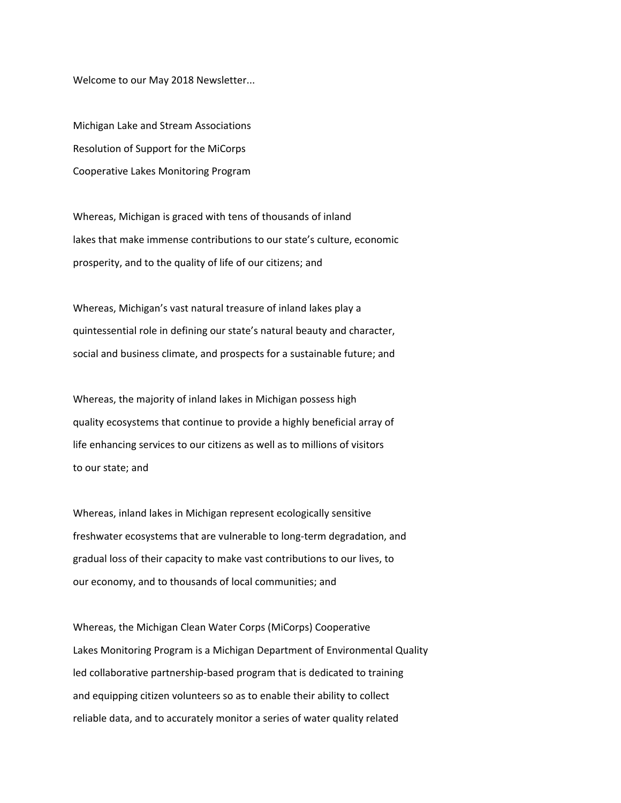Welcome to our May 2018 Newsletter...

Michigan Lake and Stream Associations Resolution of Support for the MiCorps Cooperative Lakes Monitoring Program

Whereas, Michigan is graced with tens of thousands of inland lakes that make immense contributions to our state's culture, economic prosperity, and to the quality of life of our citizens; and

Whereas, Michigan's vast natural treasure of inland lakes play a quintessential role in defining our state's natural beauty and character, social and business climate, and prospects for a sustainable future; and

Whereas, the majority of inland lakes in Michigan possess high quality ecosystems that continue to provide a highly beneficial array of life enhancing services to our citizens as well as to millions of visitors to our state; and

Whereas, inland lakes in Michigan represent ecologically sensitive freshwater ecosystems that are vulnerable to long-term degradation, and gradual loss of their capacity to make vast contributions to our lives, to our economy, and to thousands of local communities; and

Whereas, the Michigan Clean Water Corps (MiCorps) Cooperative Lakes Monitoring Program is a Michigan Department of Environmental Quality led collaborative partnership‐based program that is dedicated to training and equipping citizen volunteers so as to enable their ability to collect reliable data, and to accurately monitor a series of water quality related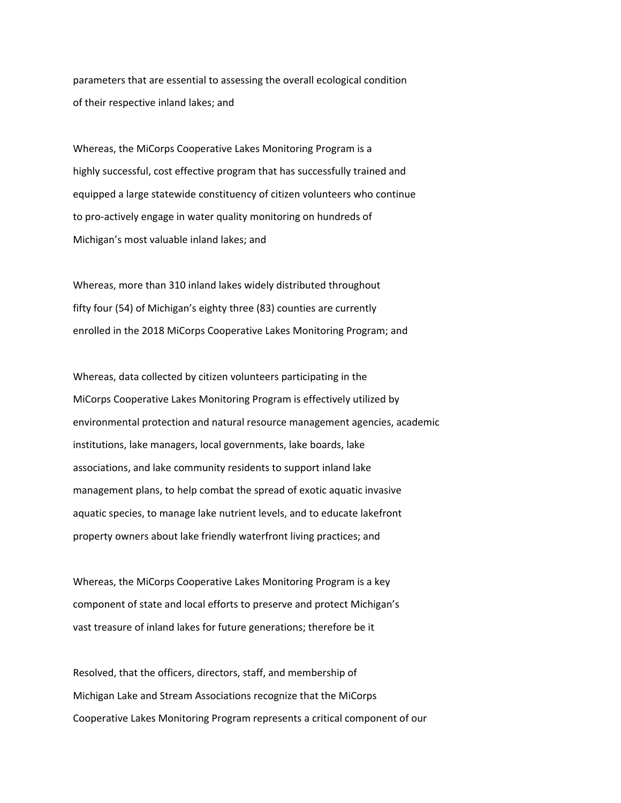parameters that are essential to assessing the overall ecological condition of their respective inland lakes; and

Whereas, the MiCorps Cooperative Lakes Monitoring Program is a highly successful, cost effective program that has successfully trained and equipped a large statewide constituency of citizen volunteers who continue to pro‐actively engage in water quality monitoring on hundreds of Michigan's most valuable inland lakes; and

Whereas, more than 310 inland lakes widely distributed throughout fifty four (54) of Michigan's eighty three (83) counties are currently enrolled in the 2018 MiCorps Cooperative Lakes Monitoring Program; and

Whereas, data collected by citizen volunteers participating in the MiCorps Cooperative Lakes Monitoring Program is effectively utilized by environmental protection and natural resource management agencies, academic institutions, lake managers, local governments, lake boards, lake associations, and lake community residents to support inland lake management plans, to help combat the spread of exotic aquatic invasive aquatic species, to manage lake nutrient levels, and to educate lakefront property owners about lake friendly waterfront living practices; and

Whereas, the MiCorps Cooperative Lakes Monitoring Program is a key component of state and local efforts to preserve and protect Michigan's vast treasure of inland lakes for future generations; therefore be it

Resolved, that the officers, directors, staff, and membership of Michigan Lake and Stream Associations recognize that the MiCorps Cooperative Lakes Monitoring Program represents a critical component of our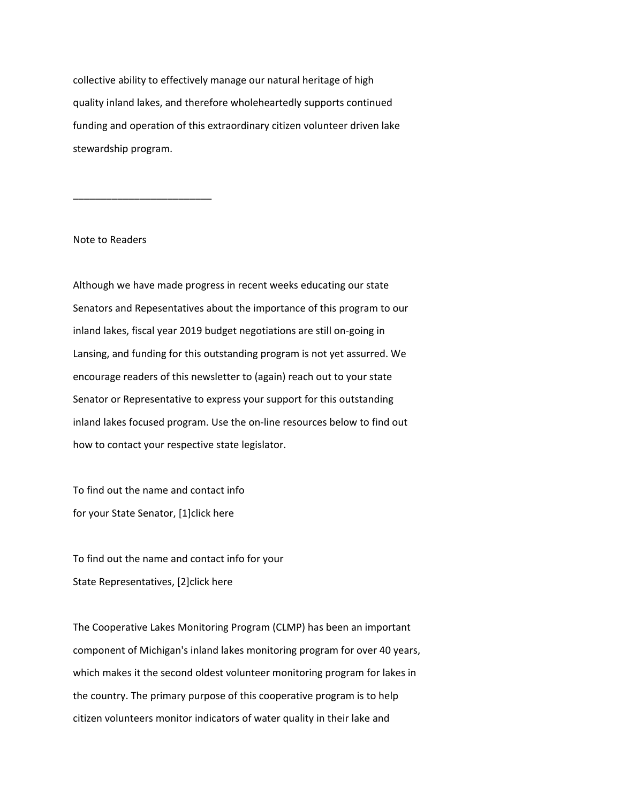collective ability to effectively manage our natural heritage of high quality inland lakes, and therefore wholeheartedly supports continued funding and operation of this extraordinary citizen volunteer driven lake stewardship program.

Note to Readers

\_\_\_\_\_\_\_\_\_\_\_\_\_\_\_\_\_\_\_\_\_\_\_\_\_

Although we have made progress in recent weeks educating our state Senators and Repesentatives about the importance of this program to our inland lakes, fiscal year 2019 budget negotiations are still on‐going in Lansing, and funding for this outstanding program is not yet assurred. We encourage readers of this newsletter to (again) reach out to your state Senator or Representative to express your support for this outstanding inland lakes focused program. Use the on‐line resources below to find out how to contact your respective state legislator.

To find out the name and contact info for your State Senator, [1]click here

To find out the name and contact info for your State Representatives, [2]click here

The Cooperative Lakes Monitoring Program (CLMP) has been an important component of Michigan's inland lakes monitoring program for over 40 years, which makes it the second oldest volunteer monitoring program for lakes in the country. The primary purpose of this cooperative program is to help citizen volunteers monitor indicators of water quality in their lake and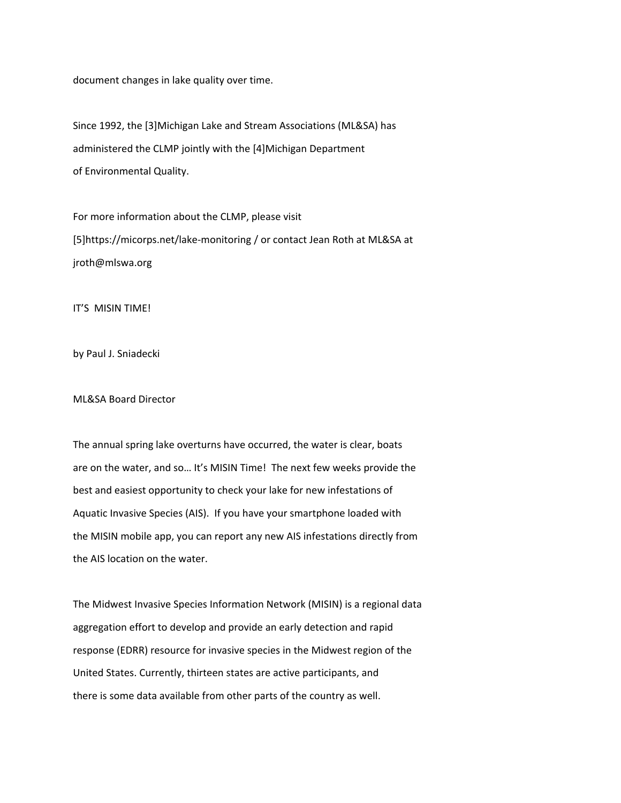document changes in lake quality over time.

Since 1992, the [3]Michigan Lake and Stream Associations (ML&SA) has administered the CLMP jointly with the [4]Michigan Department of Environmental Quality.

For more information about the CLMP, please visit [5]https://micorps.net/lake‐monitoring / or contact Jean Roth at ML&SA at jroth@mlswa.org

IT'S MISIN TIME!

by Paul J. Sniadecki

ML&SA Board Director

The annual spring lake overturns have occurred, the water is clear, boats are on the water, and so… It's MISIN Time! The next few weeks provide the best and easiest opportunity to check your lake for new infestations of Aquatic Invasive Species (AIS). If you have your smartphone loaded with the MISIN mobile app, you can report any new AIS infestations directly from the AIS location on the water.

The Midwest Invasive Species Information Network (MISIN) is a regional data aggregation effort to develop and provide an early detection and rapid response (EDRR) resource for invasive species in the Midwest region of the United States. Currently, thirteen states are active participants, and there is some data available from other parts of the country as well.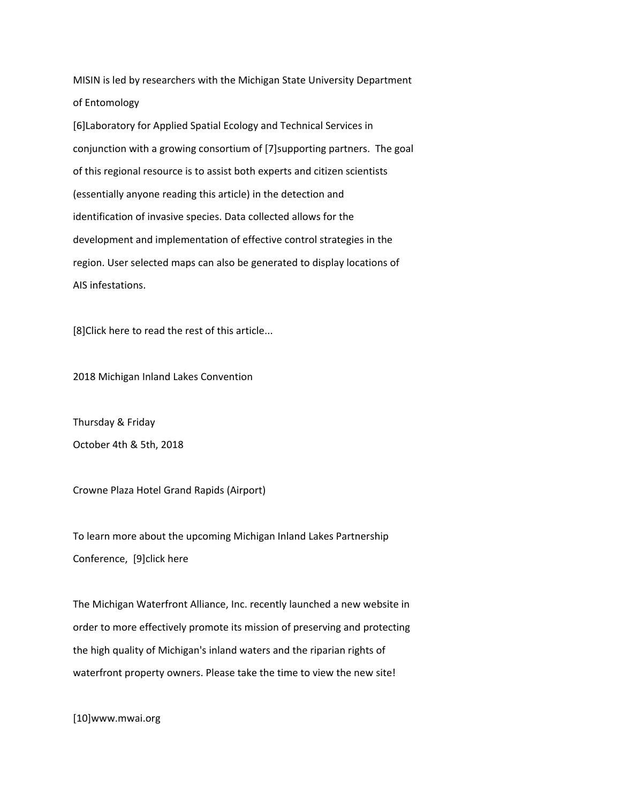MISIN is led by researchers with the Michigan State University Department of Entomology

[6]Laboratory for Applied Spatial Ecology and Technical Services in conjunction with a growing consortium of [7]supporting partners. The goal of this regional resource is to assist both experts and citizen scientists (essentially anyone reading this article) in the detection and identification of invasive species. Data collected allows for the development and implementation of effective control strategies in the region. User selected maps can also be generated to display locations of AIS infestations.

[8]Click here to read the rest of this article...

2018 Michigan Inland Lakes Convention

Thursday & Friday October 4th & 5th, 2018

Crowne Plaza Hotel Grand Rapids (Airport)

To learn more about the upcoming Michigan Inland Lakes Partnership Conference, [9]click here

The Michigan Waterfront Alliance, Inc. recently launched a new website in order to more effectively promote its mission of preserving and protecting the high quality of Michigan's inland waters and the riparian rights of waterfront property owners. Please take the time to view the new site!

[10]www.mwai.org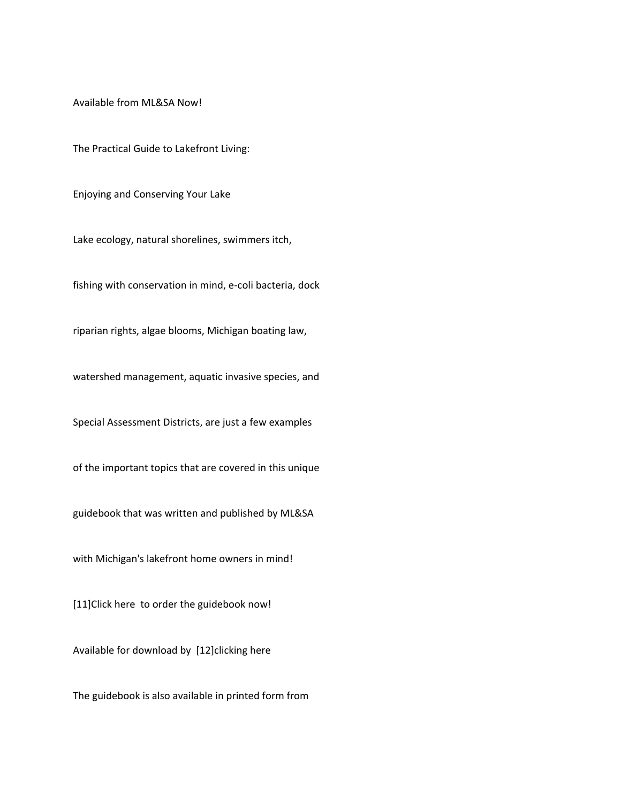Available from ML&SA Now!

The Practical Guide to Lakefront Living:

Enjoying and Conserving Your Lake

Lake ecology, natural shorelines, swimmers itch,

fishing with conservation in mind, e‐coli bacteria, dock

riparian rights, algae blooms, Michigan boating law,

watershed management, aquatic invasive species, and

Special Assessment Districts, are just a few examples

of the important topics that are covered in this unique

guidebook that was written and published by ML&SA

with Michigan's lakefront home owners in mind!

[11]Click here to order the guidebook now!

Available for download by [12]clicking here

The guidebook is also available in printed form from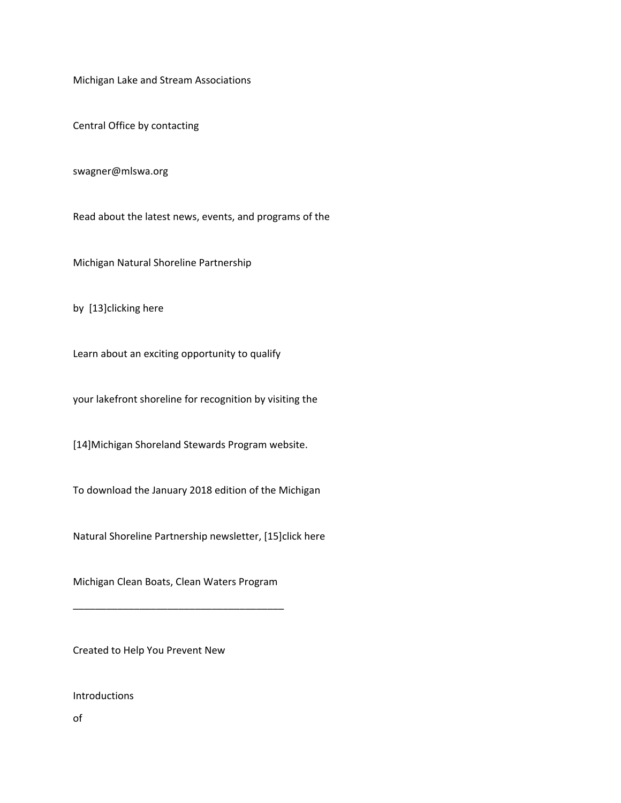Michigan Lake and Stream Associations

Central Office by contacting

swagner@mlswa.org

Read about the latest news, events, and programs of the

Michigan Natural Shoreline Partnership

by [13]clicking here

Learn about an exciting opportunity to qualify

your lakefront shoreline for recognition by visiting the

[14]Michigan Shoreland Stewards Program website.

To download the January 2018 edition of the Michigan

Natural Shoreline Partnership newsletter, [15]click here

Michigan Clean Boats, Clean Waters Program

\_\_\_\_\_\_\_\_\_\_\_\_\_\_\_\_\_\_\_\_\_\_\_\_\_\_\_\_\_\_\_\_\_\_\_\_\_\_

Created to Help You Prevent New

Introductions

of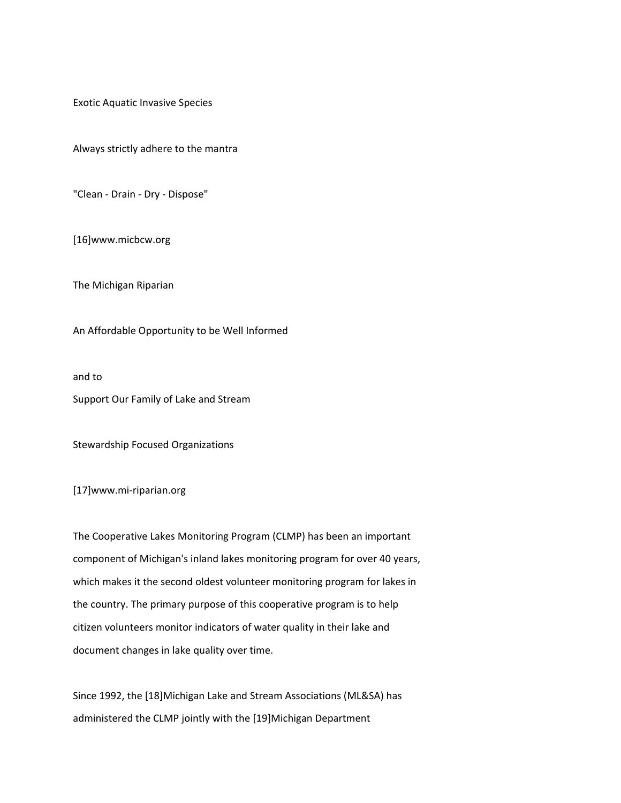Exotic Aquatic Invasive Species

Always strictly adhere to the mantra

"Clean ‐ Drain ‐ Dry ‐ Dispose"

[16]www.micbcw.org

The Michigan Riparian

An Affordable Opportunity to be Well Informed

and to

Support Our Family of Lake and Stream

Stewardship Focused Organizations

[17]www.mi‐riparian.org

The Cooperative Lakes Monitoring Program (CLMP) has been an important component of Michigan's inland lakes monitoring program for over 40 years, which makes it the second oldest volunteer monitoring program for lakes in the country. The primary purpose of this cooperative program is to help citizen volunteers monitor indicators of water quality in their lake and document changes in lake quality over time.

Since 1992, the [18]Michigan Lake and Stream Associations (ML&SA) has administered the CLMP jointly with the [19]Michigan Department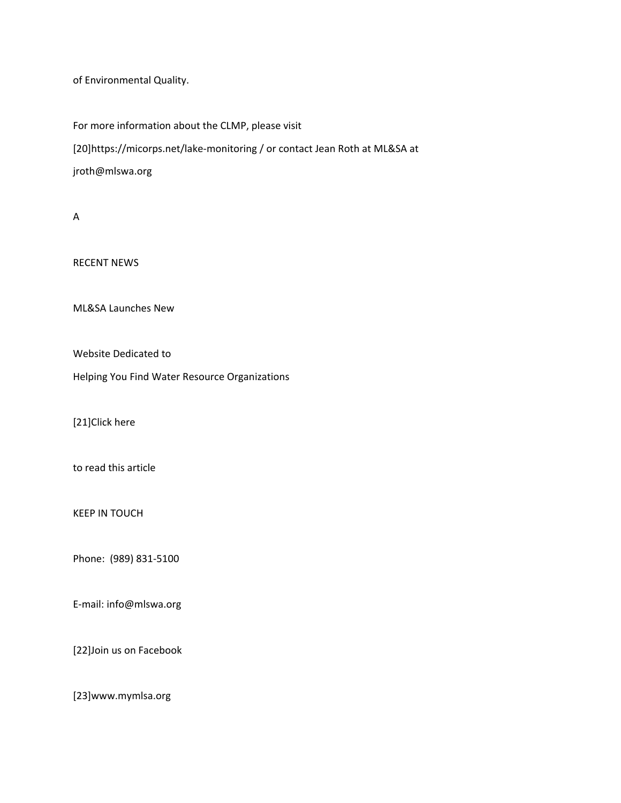of Environmental Quality.

For more information about the CLMP, please visit [20]https://micorps.net/lake‐monitoring / or contact Jean Roth at ML&SA at jroth@mlswa.org

A

RECENT NEWS

ML&SA Launches New

Website Dedicated to

Helping You Find Water Resource Organizations

[21]Click here

to read this article

KEEP IN TOUCH

Phone: (989) 831‐5100

E‐mail: info@mlswa.org

[22]Join us on Facebook

[23]www.mymlsa.org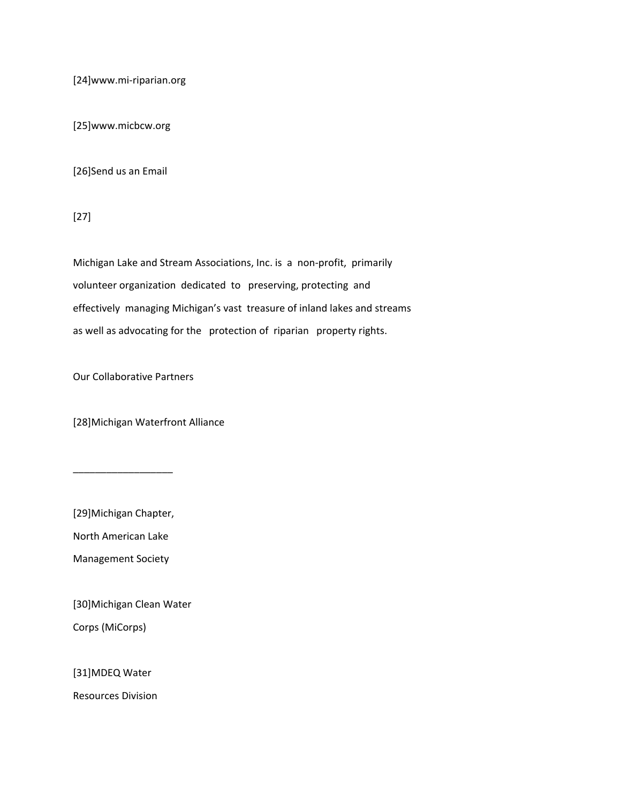[24]www.mi‐riparian.org

[25]www.micbcw.org

[26]Send us an Email

[27]

Michigan Lake and Stream Associations, Inc. is a non‐profit, primarily volunteer organization dedicated to preserving, protecting and effectively managing Michigan's vast treasure of inland lakes and streams as well as advocating for the protection of riparian property rights.

Our Collaborative Partners

[28]Michigan Waterfront Alliance

[29]Michigan Chapter,

\_\_\_\_\_\_\_\_\_\_\_\_\_\_\_\_\_\_

North American Lake

Management Society

[30]Michigan Clean Water

Corps (MiCorps)

[31]MDEQ Water

Resources Division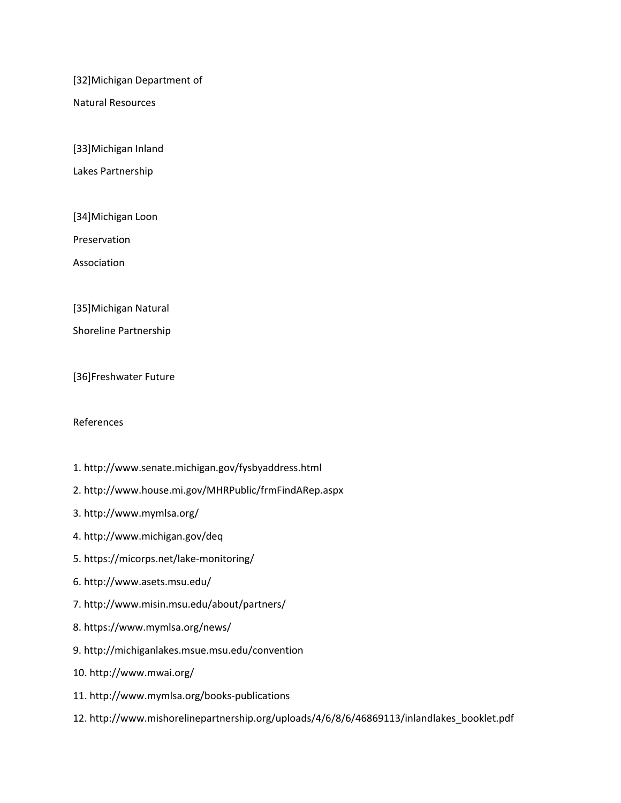[32]Michigan Department of

Natural Resources

[33]Michigan Inland

Lakes Partnership

[34]Michigan Loon

Preservation

Association

[35]Michigan Natural

Shoreline Partnership

[36]Freshwater Future

## References

- 1. http://www.senate.michigan.gov/fysbyaddress.html
- 2. http://www.house.mi.gov/MHRPublic/frmFindARep.aspx
- 3. http://www.mymlsa.org/
- 4. http://www.michigan.gov/deq
- 5. https://micorps.net/lake‐monitoring/
- 6. http://www.asets.msu.edu/
- 7. http://www.misin.msu.edu/about/partners/
- 8. https://www.mymlsa.org/news/
- 9. http://michiganlakes.msue.msu.edu/convention
- 10. http://www.mwai.org/
- 11. http://www.mymlsa.org/books‐publications
- 12. http://www.mishorelinepartnership.org/uploads/4/6/8/6/46869113/inlandlakes\_booklet.pdf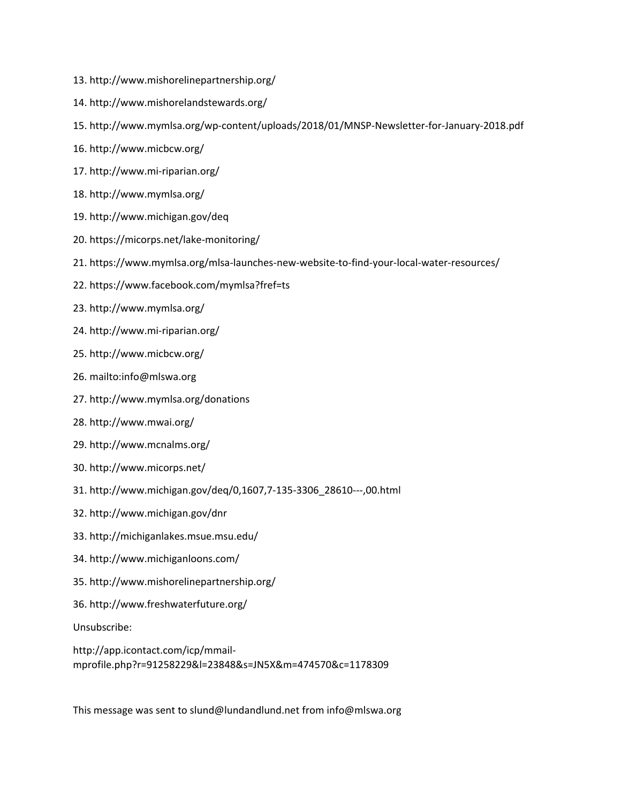- 13. http://www.mishorelinepartnership.org/
- 14. http://www.mishorelandstewards.org/
- 15. http://www.mymlsa.org/wp‐content/uploads/2018/01/MNSP‐Newsletter‐for‐January‐2018.pdf
- 16. http://www.micbcw.org/
- 17. http://www.mi‐riparian.org/
- 18. http://www.mymlsa.org/
- 19. http://www.michigan.gov/deq
- 20. https://micorps.net/lake‐monitoring/
- 21. https://www.mymlsa.org/mlsa‐launches‐new‐website‐to‐find‐your‐local‐water‐resources/
- 22. https://www.facebook.com/mymlsa?fref=ts
- 23. http://www.mymlsa.org/
- 24. http://www.mi‐riparian.org/
- 25. http://www.micbcw.org/
- 26. mailto:info@mlswa.org
- 27. http://www.mymlsa.org/donations
- 28. http://www.mwai.org/
- 29. http://www.mcnalms.org/
- 30. http://www.micorps.net/
- 31. http://www.michigan.gov/deq/0,1607,7‐135‐3306\_28610‐‐‐,00.html
- 32. http://www.michigan.gov/dnr
- 33. http://michiganlakes.msue.msu.edu/
- 34. http://www.michiganloons.com/
- 35. http://www.mishorelinepartnership.org/
- 36. http://www.freshwaterfuture.org/

Unsubscribe:

http://app.icontact.com/icp/mmail‐ mprofile.php?r=91258229&l=23848&s=JN5X&m=474570&c=1178309

This message was sent to slund@lundandlund.net from info@mlswa.org